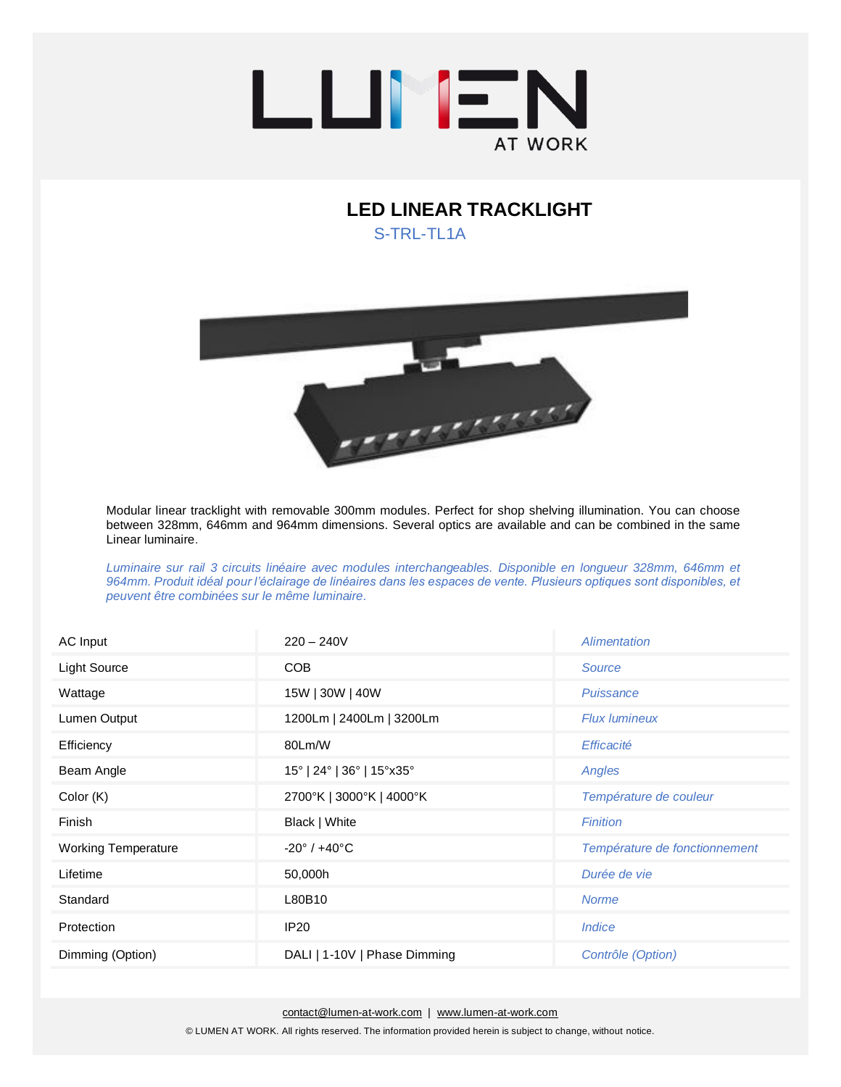

## **LED LINEAR TRACKLIGHT**  S-TRL-TL1A



Modular linear tracklight with removable 300mm modules. Perfect for shop shelving illumination. You can choose between 328mm, 646mm and 964mm dimensions. Several optics are available and can be combined in the same Linear luminaire.

*Luminaire sur rail 3 circuits linéaire avec modules interchangeables. Disponible en longueur 328mm, 646mm et 964mm. Produit idéal pour l'éclairage de linéaires dans les espaces de vente. Plusieurs optiques sont disponibles, et peuvent être combinées sur le même luminaire.*

| AC Input                   | $220 - 240V$                    | Alimentation                  |  |
|----------------------------|---------------------------------|-------------------------------|--|
| <b>Light Source</b>        | <b>COB</b>                      | Source                        |  |
| Wattage                    | 15W   30W   40W                 | Puissance                     |  |
| Lumen Output               | 1200Lm   2400Lm   3200Lm        | <b>Flux lumineux</b>          |  |
| Efficiency                 | 80Lm/W                          | Efficacité                    |  |
| Beam Angle                 | 15°   24°   36°   15° x 35°     | Angles                        |  |
| Color (K)                  | 2700°K   3000°K   4000°K        | Température de couleur        |  |
| Finish                     | Black   White                   | <b>Finition</b>               |  |
| <b>Working Temperature</b> | $-20^{\circ}$ / $+40^{\circ}$ C | Température de fonctionnement |  |
| Lifetime                   | 50,000h                         | Durée de vie                  |  |
| Standard                   | L80B10                          | <b>Norme</b>                  |  |
| Protection                 | IP20                            | <i><u><b>Indice</b></u></i>   |  |
| Dimming (Option)           | DALI   1-10V   Phase Dimming    | Contrôle (Option)             |  |

[contact@lumen-at-work.com](mailto:contact@lumen-at-work.com) | [www.lumen-at-work.com](http://www.lumen-at-work.com/) © LUMEN AT WORK. All rights reserved. The information provided herein is subject to change, without notice.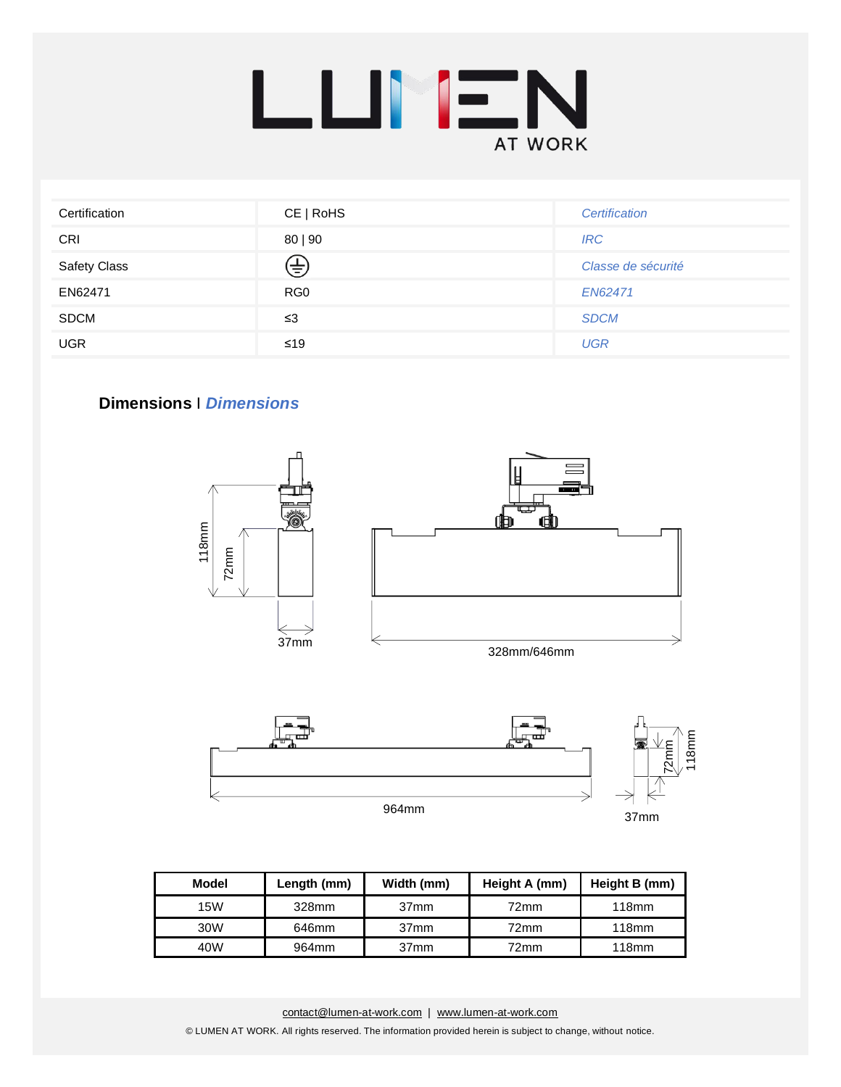

| Certification       | CE   RoHS       | Certification      |  |
|---------------------|-----------------|--------------------|--|
| CRI                 | 80   90         | <b>IRC</b>         |  |
| <b>Safety Class</b> | €               | Classe de sécurité |  |
| EN62471             | RG <sub>0</sub> | EN62471            |  |
| <b>SDCM</b>         | ≤3              | <b>SDCM</b>        |  |
| <b>UGR</b>          | ≤19             | <b>UGR</b>         |  |

## **Dimensions** I *Dimensions*





| <b>Model</b> | Length (mm)       | Width (mm)       | Height A (mm)    | Height B (mm) |
|--------------|-------------------|------------------|------------------|---------------|
| 15W          | 328mm             | 37 <sub>mm</sub> | 72mm             | $118$ mm      |
| 30W          | 646mm             | 37 <sub>mm</sub> | 72 <sub>mm</sub> | 118mm         |
| 40W          | 964 <sub>mm</sub> | 37 <sub>mm</sub> | 72mm             | 118mm         |

[contact@lumen-at-work.com](mailto:contact@lumen-at-work.com) | [www.lumen-at-work.com](http://www.lumen-at-work.com/) © LUMEN AT WORK. All rights reserved. The information provided herein is subject to change, without notice.